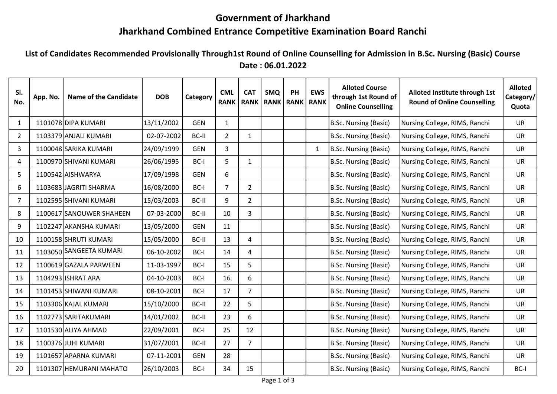## **Government of Jharkhand**

## **Jharkhand Combined Entrance Competitive Examination Board Ranchi**

**List of Candidates Recommended Provisionally Through1st Round of Online Counselling for Admission in B.Sc. Nursing (Basic) Course Date : 06.01.2022**

| SI.<br>No.     | App. No. | <b>Name of the Candidate</b> | <b>DOB</b> | Category   | <b>CML</b><br><b>RANK</b> | <b>CAT</b><br><b>RANK</b> | <b>SMQ</b><br><b>RANK   RANK   RANK</b> | PH | <b>EWS</b>   | <b>Alloted Course</b><br>through 1st Round of<br><b>Online Counselling</b> | Alloted Institute through 1st<br><b>Round of Online Counselling</b> | <b>Alloted</b><br>Category/ <br>Quota |
|----------------|----------|------------------------------|------------|------------|---------------------------|---------------------------|-----------------------------------------|----|--------------|----------------------------------------------------------------------------|---------------------------------------------------------------------|---------------------------------------|
| $\mathbf{1}$   |          | 1101078 DIPA KUMARI          | 13/11/2002 | <b>GEN</b> | $\mathbf{1}$              |                           |                                         |    |              | B.Sc. Nursing (Basic)                                                      | Nursing College, RIMS, Ranchi                                       | <b>UR</b>                             |
| $\overline{2}$ |          | 1103379 ANJALI KUMARI        | 02-07-2002 | BC-II      | $\overline{2}$            | $\mathbf{1}$              |                                         |    |              | B.Sc. Nursing (Basic)                                                      | Nursing College, RIMS, Ranchi                                       | <b>UR</b>                             |
| $\overline{3}$ |          | 1100048 SARIKA KUMARI        | 24/09/1999 | <b>GEN</b> | $\overline{3}$            |                           |                                         |    | $\mathbf{1}$ | B.Sc. Nursing (Basic)                                                      | Nursing College, RIMS, Ranchi                                       | <b>UR</b>                             |
| 4              |          | 1100970 SHIVANI KUMARI       | 26/06/1995 | BC-I       | 5                         | $\mathbf{1}$              |                                         |    |              | B.Sc. Nursing (Basic)                                                      | Nursing College, RIMS, Ranchi                                       | <b>UR</b>                             |
| 5              |          | 1100542 AISHWARYA            | 17/09/1998 | <b>GEN</b> | 6                         |                           |                                         |    |              | B.Sc. Nursing (Basic)                                                      | Nursing College, RIMS, Ranchi                                       | <b>UR</b>                             |
| 6              |          | 1103683 JAGRITI SHARMA       | 16/08/2000 | BC-I       | $\overline{7}$            | $2^{\circ}$               |                                         |    |              | B.Sc. Nursing (Basic)                                                      | Nursing College, RIMS, Ranchi                                       | <b>UR</b>                             |
| $\overline{7}$ |          | 1102595 SHIVANI KUMARI       | 15/03/2003 | BC-II      | 9                         | $2^{\circ}$               |                                         |    |              | B.Sc. Nursing (Basic)                                                      | Nursing College, RIMS, Ranchi                                       | <b>UR</b>                             |
| 8              |          | 1100617 SANOUWER SHAHEEN     | 07-03-2000 | BC-II      | 10                        | $\mathbf{3}$              |                                         |    |              | B.Sc. Nursing (Basic)                                                      | Nursing College, RIMS, Ranchi                                       | <b>UR</b>                             |
| 9              |          | 1102247 AKANSHA KUMARI       | 13/05/2000 | <b>GEN</b> | 11                        |                           |                                         |    |              | B.Sc. Nursing (Basic)                                                      | Nursing College, RIMS, Ranchi                                       | <b>UR</b>                             |
| 10             |          | 1100158 SHRUTI KUMARI        | 15/05/2000 | BC-II      | 13                        | 4                         |                                         |    |              | B.Sc. Nursing (Basic)                                                      | Nursing College, RIMS, Ranchi                                       | <b>UR</b>                             |
| 11             |          | 1103050 SANGEETA KUMARI      | 06-10-2002 | BC-I       | 14                        | $\overline{4}$            |                                         |    |              | B.Sc. Nursing (Basic)                                                      | Nursing College, RIMS, Ranchi                                       | <b>UR</b>                             |
| 12             |          | 1100619 GAZALA PARWEEN       | 11-03-1997 | BC-I       | 15                        | 5                         |                                         |    |              | B.Sc. Nursing (Basic)                                                      | Nursing College, RIMS, Ranchi                                       | <b>UR</b>                             |
| 13             |          | 1104293 ISHRAT ARA           | 04-10-2003 | BC-I       | 16                        | 6                         |                                         |    |              | B.Sc. Nursing (Basic)                                                      | Nursing College, RIMS, Ranchi                                       | <b>UR</b>                             |
| 14             |          | 1101453 SHIWANI KUMARI       | 08-10-2001 | BC-I       | 17                        | $7^{\circ}$               |                                         |    |              | B.Sc. Nursing (Basic)                                                      | Nursing College, RIMS, Ranchi                                       | <b>UR</b>                             |
| 15             |          | 1103306 KAJAL KUMARI         | 15/10/2000 | BC-II      | 22                        | 5                         |                                         |    |              | B.Sc. Nursing (Basic)                                                      | Nursing College, RIMS, Ranchi                                       | <b>UR</b>                             |
| 16             |          | 1102773 SARITAKUMARI         | 14/01/2002 | BC-II      | 23                        | 6                         |                                         |    |              | B.Sc. Nursing (Basic)                                                      | Nursing College, RIMS, Ranchi                                       | <b>UR</b>                             |
| 17             |          | 1101530 ALIYA AHMAD          | 22/09/2001 | BC-I       | 25                        | 12                        |                                         |    |              | B.Sc. Nursing (Basic)                                                      | Nursing College, RIMS, Ranchi                                       | <b>UR</b>                             |
| 18             |          | 1100376 JUHI KUMARI          | 31/07/2001 | BC-II      | 27                        | $7^{\circ}$               |                                         |    |              | B.Sc. Nursing (Basic)                                                      | Nursing College, RIMS, Ranchi                                       | <b>UR</b>                             |
| 19             |          | 1101657 APARNA KUMARI        | 07-11-2001 | <b>GEN</b> | 28                        |                           |                                         |    |              | B.Sc. Nursing (Basic)                                                      | Nursing College, RIMS, Ranchi                                       | <b>UR</b>                             |
| 20             |          | 1101307 HEMURANI MAHATO      | 26/10/2003 | BC-I       | 34                        | 15                        |                                         |    |              | B.Sc. Nursing (Basic)                                                      | Nursing College, RIMS, Ranchi                                       | BC-I                                  |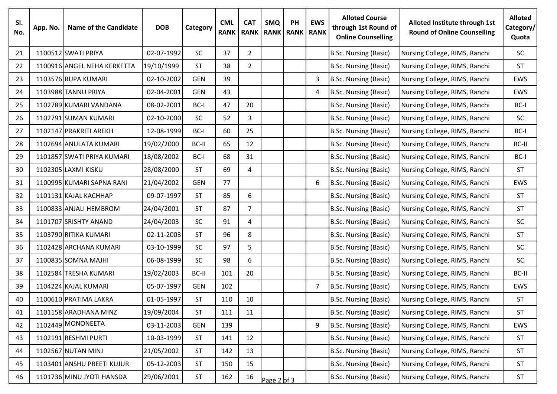| SI.<br>No. | App. No. | <b>Name of the Candidate</b> | <b>DOB</b> | Category   | <b>CML</b><br><b>RANK</b> | <b>CAT</b><br><b>RANK</b> | <b>SMQ</b>  | <b>PH</b><br><b>RANK   RANK   RANK</b> | <b>EWS</b>     | <b>Alloted Course</b><br>through 1st Round of<br><b>Online Counselling</b> | Alloted Institute through 1st<br><b>Round of Online Counselling</b> | <b>Alloted</b><br>Category/<br>Quota |
|------------|----------|------------------------------|------------|------------|---------------------------|---------------------------|-------------|----------------------------------------|----------------|----------------------------------------------------------------------------|---------------------------------------------------------------------|--------------------------------------|
| 21         |          | 1100512 SWATI PRIYA          | 02-07-1992 | SC         | 37                        | $\overline{2}$            |             |                                        |                | B.Sc. Nursing (Basic)                                                      | Nursing College, RIMS, Ranchi                                       | <b>SC</b>                            |
| 22         |          | 1100916 ANGEL NEHA KERKETTA  | 19/10/1999 | <b>ST</b>  | 38                        | $\overline{2}$            |             |                                        |                | B.Sc. Nursing (Basic)                                                      | Nursing College, RIMS, Ranchi                                       | <b>ST</b>                            |
| 23         |          | 1103576 RUPA KUMARI          | 02-10-2002 | <b>GEN</b> | 39                        |                           |             |                                        | 3              | B.Sc. Nursing (Basic)                                                      | Nursing College, RIMS, Ranchi                                       | <b>EWS</b>                           |
| 24         |          | 1103988 TANNU PRIYA          | 02-04-2001 | <b>GEN</b> | 43                        |                           |             |                                        | 4              | B.Sc. Nursing (Basic)                                                      | Nursing College, RIMS, Ranchi                                       | <b>EWS</b>                           |
| 25         |          | 1102789 KUMARI VANDANA       | 08-02-2001 | BC-I       | 47                        | 20                        |             |                                        |                | B.Sc. Nursing (Basic)                                                      | Nursing College, RIMS, Ranchi                                       | BC-I                                 |
| 26         |          | 1102791 SUMAN KUMARI         | 02-10-2000 | SC         | 52                        | 3                         |             |                                        |                | B.Sc. Nursing (Basic)                                                      | Nursing College, RIMS, Ranchi                                       | <b>SC</b>                            |
| 27         |          | 1102147 PRAKRITI AREKH       | 12-08-1999 | BC-I       | 60                        | 25                        |             |                                        |                | B.Sc. Nursing (Basic)                                                      | Nursing College, RIMS, Ranchi                                       | BC-I                                 |
| 28         |          | 1102694 ANULATA KUMARI       | 19/02/2000 | BC-II      | 65                        | 12                        |             |                                        |                | B.Sc. Nursing (Basic)                                                      | Nursing College, RIMS, Ranchi                                       | BC-II                                |
| 29         |          | 1101857 SWATI PRIYA KUMARI   | 18/08/2002 | BC-I       | 68                        | 31                        |             |                                        |                | B.Sc. Nursing (Basic)                                                      | Nursing College, RIMS, Ranchi                                       | BC-I                                 |
| 30         |          | 1102305 LAXMI KISKU          | 28/08/2000 | <b>ST</b>  | 69                        | 4                         |             |                                        |                | B.Sc. Nursing (Basic)                                                      | Nursing College, RIMS, Ranchi                                       | <b>ST</b>                            |
| 31         |          | 1100995 KUMARI SAPNA RANI    | 21/04/2002 | <b>GEN</b> | 77                        |                           |             |                                        | 6              | B.Sc. Nursing (Basic)                                                      | Nursing College, RIMS, Ranchi                                       | EWS                                  |
| 32         |          | 1101131 KAJAL KACHHAP        | 09-07-1997 | <b>ST</b>  | 85                        | 6                         |             |                                        |                | B.Sc. Nursing (Basic)                                                      | Nursing College, RIMS, Ranchi                                       | <b>ST</b>                            |
| 33         |          | 1100833 ANJALI HEMBROM       | 24/04/2001 | <b>ST</b>  | 87                        | $\overline{7}$            |             |                                        |                | B.Sc. Nursing (Basic)                                                      | Nursing College, RIMS, Ranchi                                       | <b>ST</b>                            |
| 34         |          | 1101707 SRISHTY ANAND        | 24/04/2003 | SC         | 91                        | 4                         |             |                                        |                | B.Sc. Nursing (Basic)                                                      | Nursing College, RIMS, Ranchi                                       | SC                                   |
| 35         |          | 1103790 RITIKA KUMARI        | 02-11-2003 | <b>ST</b>  | 96                        | 8                         |             |                                        |                | B.Sc. Nursing (Basic)                                                      | Nursing College, RIMS, Ranchi                                       | <b>ST</b>                            |
| 36         |          | 1102428 ARCHANA KUMARI       | 03-10-1999 | SC         | 97                        | 5                         |             |                                        |                | B.Sc. Nursing (Basic)                                                      | Nursing College, RIMS, Ranchi                                       | <b>SC</b>                            |
| 37         |          | 1100835 SOMNA MAJHI          | 06-08-1999 | <b>SC</b>  | 98                        | 6                         |             |                                        |                | B.Sc. Nursing (Basic)                                                      | Nursing College, RIMS, Ranchi                                       | <b>SC</b>                            |
| 38         |          | 1102584 TRESHA KUMARI        | 19/02/2003 | BC-II      | 101                       | 20                        |             |                                        |                | B.Sc. Nursing (Basic)                                                      | Nursing College, RIMS, Ranchi                                       | BC-II                                |
| 39         |          | 1104224 KAJAL KUMARI         | 05-07-1997 | <b>GEN</b> | 102                       |                           |             |                                        | $\overline{7}$ | B.Sc. Nursing (Basic)                                                      | Nursing College, RIMS, Ranchi                                       | <b>EWS</b>                           |
| 40         |          | 1100610 PRATIMA LAKRA        | 01-05-1997 | <b>ST</b>  | 110                       | 10                        |             |                                        |                | B.Sc. Nursing (Basic)                                                      | Nursing College, RIMS, Ranchi                                       | <b>ST</b>                            |
| 41         |          | 1101158 ARADHANA MINZ        | 19/09/2004 | <b>ST</b>  | 111                       | 11                        |             |                                        |                | B.Sc. Nursing (Basic)                                                      | Nursing College, RIMS, Ranchi                                       | <b>ST</b>                            |
| 42         |          | 1102449 MONONEETA            | 03-11-2003 | <b>GEN</b> | 139                       |                           |             |                                        | 9              | B.Sc. Nursing (Basic)                                                      | Nursing College, RIMS, Ranchi                                       | EWS                                  |
| 43         |          | 1102191 RESHMI PURTI         | 10-03-1999 | <b>ST</b>  | 141                       | 12                        |             |                                        |                | B.Sc. Nursing (Basic)                                                      | Nursing College, RIMS, Ranchi                                       | <b>ST</b>                            |
| 44         |          | 1102567 NUTAN MINJ           | 21/05/2002 | <b>ST</b>  | 142                       | 13                        |             |                                        |                | B.Sc. Nursing (Basic)                                                      | Nursing College, RIMS, Ranchi                                       | <b>ST</b>                            |
| 45         |          | 1103401 ANSHU PREETI KUJUR   | 05-12-2003 | <b>ST</b>  | 150                       | 15                        |             |                                        |                | B.Sc. Nursing (Basic)                                                      | Nursing College, RIMS, Ranchi                                       | <b>ST</b>                            |
| 46         |          | 1101736 MINU JYOTI HANSDA    | 29/06/2001 | <b>ST</b>  | 162                       | 16                        | Page 2 of 3 |                                        |                | B.Sc. Nursing (Basic)                                                      | Nursing College, RIMS, Ranchi                                       | <b>ST</b>                            |